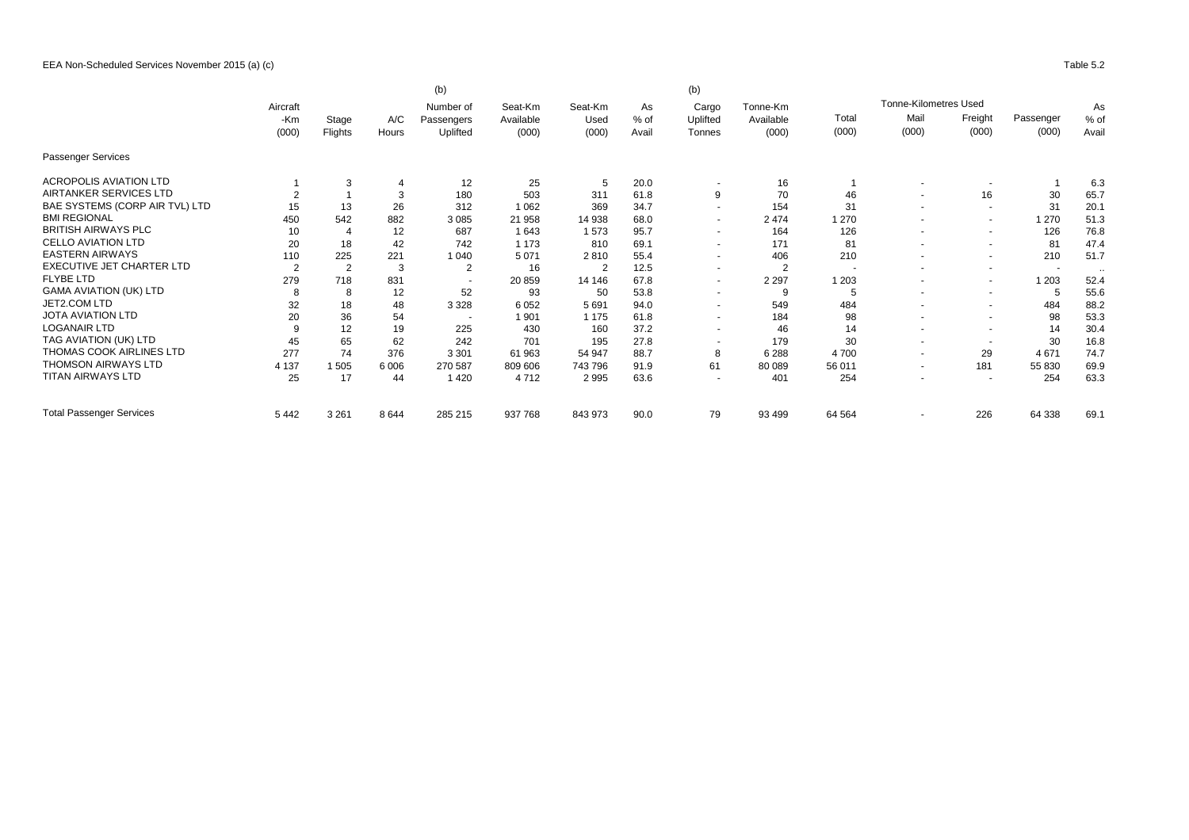|                                 |                | (b)<br>(b)     |                |                         |                      |                 |            |                          |                       |                          |                          |                          |           |       |       |
|---------------------------------|----------------|----------------|----------------|-------------------------|----------------------|-----------------|------------|--------------------------|-----------------------|--------------------------|--------------------------|--------------------------|-----------|-------|-------|
|                                 | Aircraft       |                | A/C            | Number of<br>Passengers | Seat-Km<br>Available | Seat-Km<br>Used | As<br>% of | Cargo<br>Uplifted        | Tonne-Km<br>Available |                          | Tonne-Kilometres Used    |                          |           | As    |       |
|                                 | -Km<br>(000)   | Stage          |                |                         |                      |                 |            |                          |                       | Total                    | Mail                     | Freight                  | Passenger | % of  |       |
|                                 |                |                |                | Flights                 | Hours                | Uplifted        | (000)      | (000)                    | Avail                 | Tonnes                   | (000)                    | (000)                    | (000)     | (000) | (000) |
| Passenger Services              |                |                |                |                         |                      |                 |            |                          |                       |                          |                          |                          |           |       |       |
| <b>ACROPOLIS AVIATION LTD</b>   |                | 3              | $\overline{4}$ | 12                      | 25                   | 5               | 20.0       |                          | 16                    |                          |                          | $\overline{\phantom{a}}$ |           | 6.3   |       |
| AIRTANKER SERVICES LTD          |                |                | 3              | 180                     | 503                  | 311             | 61.8       | 9                        | 70                    | 46                       |                          | 16                       | 30        | 65.7  |       |
| BAE SYSTEMS (CORP AIR TVL) LTD  | 15             | 13             | 26             | 312                     | 1 0 6 2              | 369             | 34.7       | $\sim$                   | 154                   | 31                       |                          | $\overline{\phantom{a}}$ | 31        | 20.1  |       |
| <b>BMI REGIONAL</b>             | 450            | 542            | 882            | 3 0 8 5                 | 21 958               | 14 938          | 68.0       | $\overline{\phantom{a}}$ | 2474                  | 1 2 7 0                  |                          | $\blacksquare$           | 1 270     | 51.3  |       |
| <b>BRITISH AIRWAYS PLC</b>      | 10             |                | 12             | 687                     | 1643                 | 1573            | 95.7       | $\overline{\phantom{a}}$ | 164                   | 126                      |                          | $\sim$                   | 126       | 76.8  |       |
| <b>CELLO AVIATION LTD</b>       | 20             | 18             | 42             | 742                     | 1 1 7 3              | 810             | 69.1       | $\overline{\phantom{a}}$ | 171                   | 81                       |                          | $\blacksquare$           | 81        | 47.4  |       |
| <b>EASTERN AIRWAYS</b>          | 110            | 225            | 221            | 1 0 4 0                 | 5 0 7 1              | 2810            | 55.4       | $\overline{a}$           | 406                   | 210                      |                          | $\blacksquare$           | 210       | 51.7  |       |
| EXECUTIVE JET CHARTER LTD       | $\overline{2}$ | $\overline{2}$ | 3              | $\overline{2}$          | 16                   | $\overline{2}$  | 12.5       | $\overline{\phantom{a}}$ | $\overline{2}$        | $\overline{\phantom{a}}$ |                          | $\blacksquare$           | $\sim$    |       |       |
| <b>FLYBE LTD</b>                | 279            | 718            | 831            |                         | 20859                | 14 14 6         | 67.8       | $\blacksquare$           | 2 2 9 7               | 1 2 0 3                  |                          | $\sim$                   | 1 2 0 3   | 52.4  |       |
| <b>GAMA AVIATION (UK) LTD</b>   | 8              | 8              | 12             | 52                      | 93                   | 50              | 53.8       | $\overline{\phantom{a}}$ | 9                     | 5                        |                          | $\overline{\phantom{a}}$ | 5         | 55.6  |       |
| JET2.COM LTD                    | 32             | 18             | 48             | 3 3 2 8                 | 6 0 5 2              | 5691            | 94.0       | $\tilde{\phantom{a}}$    | 549                   | 484                      |                          | $\sim$                   | 484       | 88.2  |       |
| <b>JOTA AVIATION LTD</b>        | 20             | 36             | 54             |                         | 1 901                | 1 1 7 5         | 61.8       | $\overline{\phantom{a}}$ | 184                   | 98                       |                          | $\blacksquare$           | 98        | 53.3  |       |
| <b>LOGANAIR LTD</b>             | 9              | 12             | 19             | 225                     | 430                  | 160             | 37.2       | $\tilde{\phantom{a}}$    | 46                    | 14                       |                          | $\blacksquare$           | 14        | 30.4  |       |
| TAG AVIATION (UK) LTD           | 45             | 65             | 62             | 242                     | 701                  | 195             | 27.8       |                          | 179                   | 30                       | $\overline{\phantom{a}}$ | $\overline{\phantom{a}}$ | 30        | 16.8  |       |
| THOMAS COOK AIRLINES LTD        | 277            | 74             | 376            | 3 3 0 1                 | 61 963               | 54 947          | 88.7       | 8                        | 6 2 8 8               | 4700                     | $\overline{\phantom{a}}$ | 29                       | 4671      | 74.7  |       |
| <b>THOMSON AIRWAYS LTD</b>      | 4 1 3 7        | 1 505          | 6 0 0 6        | 270 587                 | 809 606              | 743796          | 91.9       | 61                       | 80 089                | 56 011                   | $\overline{a}$           | 181                      | 55 830    | 69.9  |       |
| <b>TITAN AIRWAYS LTD</b>        | 25             | 17             | 44             | 1 4 2 0                 | 4712                 | 2995            | 63.6       | $\overline{\phantom{a}}$ | 401                   | 254                      |                          | $\overline{\phantom{a}}$ | 254       | 63.3  |       |
| <b>Total Passenger Services</b> | 5442           | 3 2 6 1        | 8644           | 285 215                 | 937 768              | 843 973         | 90.0       | 79                       | 93 499                | 64 5 64                  |                          | 226                      | 64 338    | 69.1  |       |